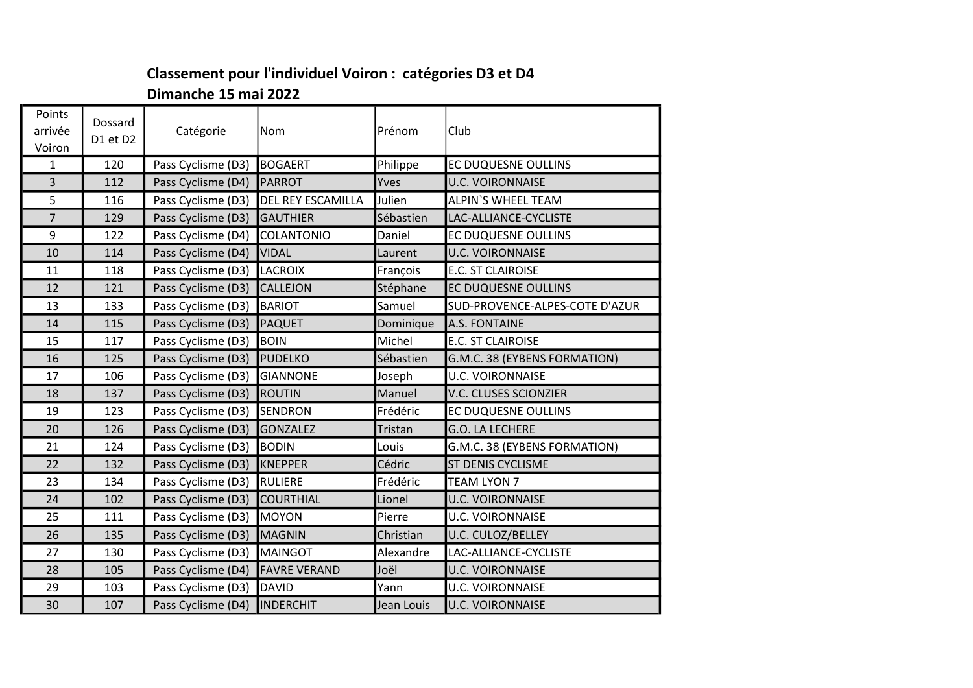## Classement pour l'individuel Voiron : catégories D3 et D4 Dimanche 15 mai 2022

| Points<br>arrivée<br>Voiron | Dossard<br>D1 et D2 | Catégorie                     | Nom                      | Prénom     | Club                           |
|-----------------------------|---------------------|-------------------------------|--------------------------|------------|--------------------------------|
| $\mathbf{1}$                | 120                 | Pass Cyclisme (D3)            | BOGAERT                  | Philippe   | <b>EC DUQUESNE OULLINS</b>     |
| $\overline{3}$              | 112                 | Pass Cyclisme (D4)            | PARROT                   | Yves       | <b>U.C. VOIRONNAISE</b>        |
| 5                           | 116                 | Pass Cyclisme (D3)            | <b>DEL REY ESCAMILLA</b> | Julien     | <b>ALPIN'S WHEEL TEAM</b>      |
| $\overline{7}$              | 129                 | Pass Cyclisme (D3)            | <b>GAUTHIER</b>          | Sébastien  | LAC-ALLIANCE-CYCLISTE          |
| 9                           | 122                 | Pass Cyclisme (D4)            | COLANTONIO               | Daniel     | EC DUQUESNE OULLINS            |
| 10                          | 114                 | Pass Cyclisme (D4)            | VIDAL                    | Laurent    | <b>U.C. VOIRONNAISE</b>        |
| 11                          | 118                 | Pass Cyclisme (D3)            | LACROIX                  | François   | <b>E.C. ST CLAIROISE</b>       |
| 12                          | 121                 | Pass Cyclisme (D3)            | CALLEJON                 | Stéphane   | <b>EC DUQUESNE OULLINS</b>     |
| 13                          | 133                 | Pass Cyclisme (D3)            | BARIOT                   | Samuel     | SUD-PROVENCE-ALPES-COTE D'AZUR |
| 14                          | 115                 | Pass Cyclisme (D3)            | PAQUET                   | Dominique  | <b>A.S. FONTAINE</b>           |
| 15                          | 117                 | Pass Cyclisme (D3)            | <b>BOIN</b>              | Michel     | <b>E.C. ST CLAIROISE</b>       |
| 16                          | 125                 | Pass Cyclisme (D3)            | PUDELKO                  | Sébastien  | G.M.C. 38 (EYBENS FORMATION)   |
| 17                          | 106                 | Pass Cyclisme (D3)            | <b>GIANNONE</b>          | Joseph     | <b>U.C. VOIRONNAISE</b>        |
| 18                          | 137                 | Pass Cyclisme (D3)            | ROUTIN                   | Manuel     | <b>V.C. CLUSES SCIONZIER</b>   |
| 19                          | 123                 | Pass Cyclisme (D3)            | <b>SENDRON</b>           | Frédéric   | EC DUQUESNE OULLINS            |
| 20                          | 126                 | Pass Cyclisme (D3)            | GONZALEZ                 | Tristan    | G.O. LA LECHERE                |
| 21                          | 124                 | Pass Cyclisme (D3)            | BODIN                    | Louis      | G.M.C. 38 (EYBENS FORMATION)   |
| 22                          | 132                 | Pass Cyclisme (D3)            | KNEPPER                  | Cédric     | <b>ST DENIS CYCLISME</b>       |
| 23                          | 134                 | Pass Cyclisme (D3)            | RULIERE                  | Frédéric   | <b>TEAM LYON 7</b>             |
| 24                          | 102                 | Pass Cyclisme (D3)            | <b>COURTHIAL</b>         | Lionel     | <b>U.C. VOIRONNAISE</b>        |
| 25                          | 111                 | Pass Cyclisme (D3)            | MOYON                    | Pierre     | <b>U.C. VOIRONNAISE</b>        |
| 26                          | 135                 | Pass Cyclisme (D3)            | MAGNIN                   | Christian  | U.C. CULOZ/BELLEY              |
| 27                          | 130                 | Pass Cyclisme (D3)            | <b>MAINGOT</b>           | Alexandre  | LAC-ALLIANCE-CYCLISTE          |
| 28                          | 105                 | Pass Cyclisme (D4)            | <b>FAVRE VERAND</b>      | Joël       | <b>U.C. VOIRONNAISE</b>        |
| 29                          | 103                 | Pass Cyclisme (D3)            | DAVID                    | Yann       | <b>U.C. VOIRONNAISE</b>        |
| 30                          | 107                 | Pass Cyclisme (D4)  INDERCHIT |                          | Jean Louis | <b>U.C. VOIRONNAISE</b>        |